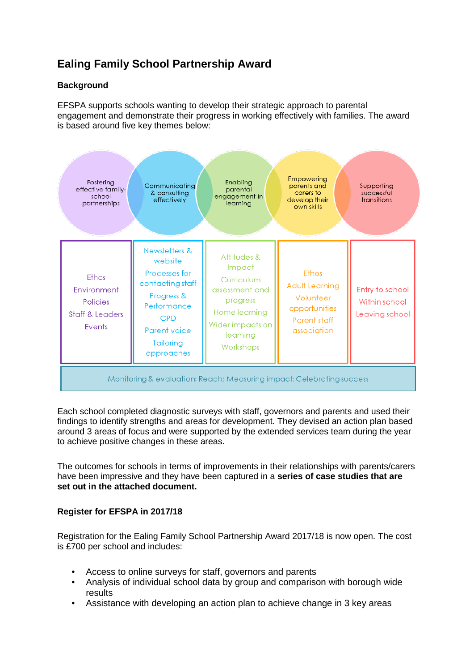## **Ealing Family School Partnership Award**

## **Background**

EFSPA supports schools wanting to develop their strategic approach to parental engagement and demonstrate their progress in working effectively with families. The award is based around five key themes below:



Each school completed diagnostic surveys with staff, governors and parents and used their findings to identify strengths and areas for development. They devised an action plan based around 3 areas of focus and were supported by the extended services team during the year to achieve positive changes in these areas.

The outcomes for schools in terms of improvements in their relationships with parents/carers have been impressive and they have been captured in a **series of case studies that are set out in the attached document.** 

## **Register for EFSPA in 2017/18**

Registration for the Ealing Family School Partnership Award 2017/18 is now open. The cost is £700 per school and includes:

- Access to online surveys for staff, governors and parents
- Analysis of individual school data by group and comparison with borough wide results
- Assistance with developing an action plan to achieve change in 3 key areas